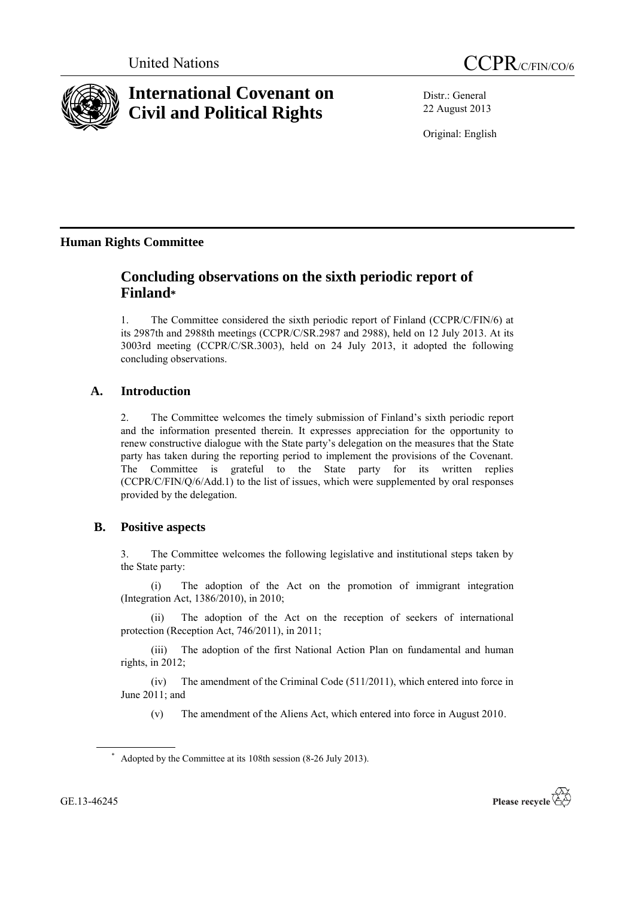



# **International Covenant on Civil and Political Rights**

Distr.: General 22 August 2013

Original: English

## **Human Rights Committee**

## **Concluding observations on the sixth periodic report of Finland\***

1. The Committee considered the sixth periodic report of Finland (CCPR/C/FIN/6) at its 2987th and 2988th meetings (CCPR/C/SR.2987 and 2988), held on 12 July 2013. At its 3003rd meeting (CCPR/C/SR.3003), held on 24 July 2013, it adopted the following concluding observations.

## **A. Introduction**

2. The Committee welcomes the timely submission of Finland's sixth periodic report and the information presented therein. It expresses appreciation for the opportunity to renew constructive dialogue with the State party's delegation on the measures that the State party has taken during the reporting period to implement the provisions of the Covenant. The Committee is grateful to the State party for its written replies (CCPR/C/FIN/Q/6/Add.1) to the list of issues, which were supplemented by oral responses provided by the delegation.

## **B. Positive aspects**

3. The Committee welcomes the following legislative and institutional steps taken by the State party:

(i) The adoption of the Act on the promotion of immigrant integration (Integration Act, 1386/2010), in 2010;

(ii) The adoption of the Act on the reception of seekers of international protection (Reception Act, 746/2011), in 2011;

(iii) The adoption of the first National Action Plan on fundamental and human rights, in 2012;

(iv) The amendment of the Criminal Code (511/2011), which entered into force in June 2011; and

(v) The amendment of the Aliens Act, which entered into force in August 2010.



<sup>\*</sup> Adopted by the Committee at its 108th session (8-26 July 2013).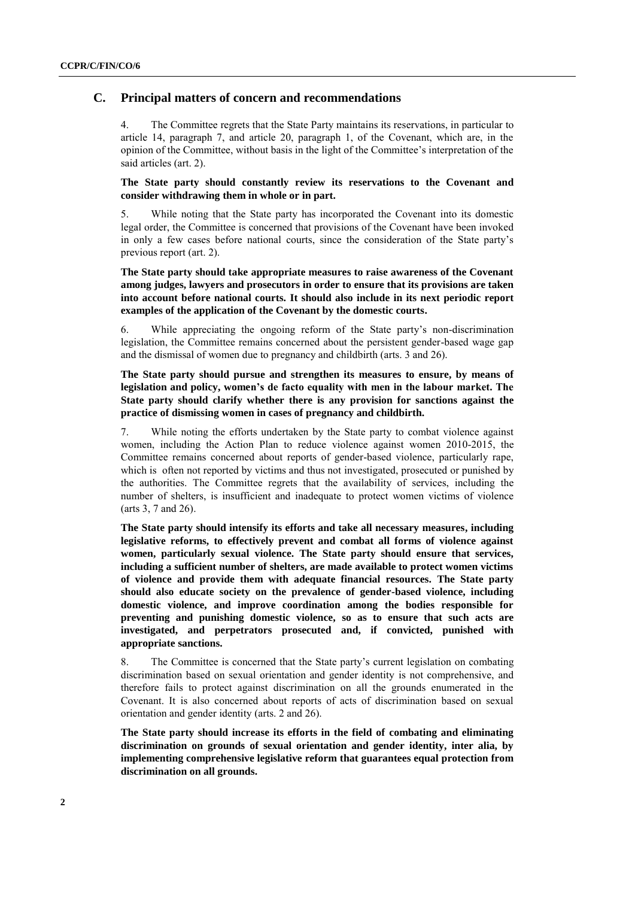#### **C. Principal matters of concern and recommendations**

4. The Committee regrets that the State Party maintains its reservations, in particular to article 14, paragraph 7, and article 20, paragraph 1, of the Covenant, which are, in the opinion of the Committee, without basis in the light of the Committee's interpretation of the said articles (art. 2).

**The State party should constantly review its reservations to the Covenant and consider withdrawing them in whole or in part.** 

5. While noting that the State party has incorporated the Covenant into its domestic legal order, the Committee is concerned that provisions of the Covenant have been invoked in only a few cases before national courts, since the consideration of the State party's previous report (art. 2).

**The State party should take appropriate measures to raise awareness of the Covenant among judges, lawyers and prosecutors in order to ensure that its provisions are taken into account before national courts. It should also include in its next periodic report examples of the application of the Covenant by the domestic courts.** 

6. While appreciating the ongoing reform of the State party's non-discrimination legislation, the Committee remains concerned about the persistent gender-based wage gap and the dismissal of women due to pregnancy and childbirth (arts. 3 and 26).

**The State party should pursue and strengthen its measures to ensure, by means of legislation and policy, women's de facto equality with men in the labour market. The State party should clarify whether there is any provision for sanctions against the practice of dismissing women in cases of pregnancy and childbirth.**

7. While noting the efforts undertaken by the State party to combat violence against women, including the Action Plan to reduce violence against women 2010-2015, the Committee remains concerned about reports of gender-based violence, particularly rape, which is often not reported by victims and thus not investigated, prosecuted or punished by the authorities. The Committee regrets that the availability of services, including the number of shelters, is insufficient and inadequate to protect women victims of violence (arts 3, 7 and 26).

**The State party should intensify its efforts and take all necessary measures, including legislative reforms, to effectively prevent and combat all forms of violence against women, particularly sexual violence. The State party should ensure that services, including a sufficient number of shelters, are made available to protect women victims of violence and provide them with adequate financial resources. The State party should also educate society on the prevalence of gender-based violence, including domestic violence, and improve coordination among the bodies responsible for preventing and punishing domestic violence, so as to ensure that such acts are investigated, and perpetrators prosecuted and, if convicted, punished with appropriate sanctions.** 

8. The Committee is concerned that the State party's current legislation on combating discrimination based on sexual orientation and gender identity is not comprehensive, and therefore fails to protect against discrimination on all the grounds enumerated in the Covenant. It is also concerned about reports of acts of discrimination based on sexual orientation and gender identity (arts. 2 and 26).

**The State party should increase its efforts in the field of combating and eliminating discrimination on grounds of sexual orientation and gender identity, inter alia, by implementing comprehensive legislative reform that guarantees equal protection from discrimination on all grounds.**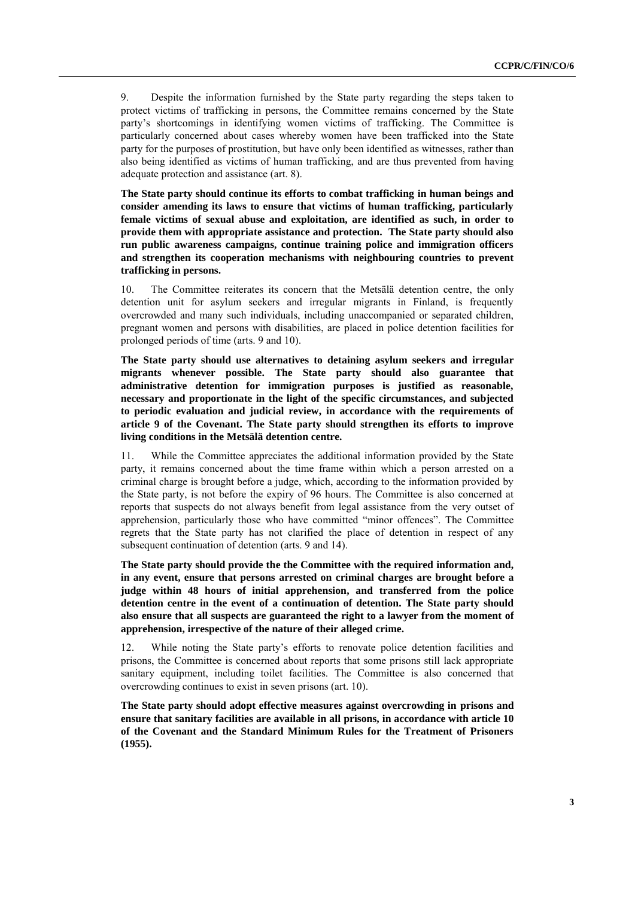9. Despite the information furnished by the State party regarding the steps taken to protect victims of trafficking in persons, the Committee remains concerned by the State party's shortcomings in identifying women victims of trafficking. The Committee is particularly concerned about cases whereby women have been trafficked into the State party for the purposes of prostitution, but have only been identified as witnesses, rather than also being identified as victims of human trafficking, and are thus prevented from having adequate protection and assistance (art. 8).

**The State party should continue its efforts to combat trafficking in human beings and consider amending its laws to ensure that victims of human trafficking, particularly female victims of sexual abuse and exploitation, are identified as such, in order to provide them with appropriate assistance and protection. The State party should also run public awareness campaigns, continue training police and immigration officers and strengthen its cooperation mechanisms with neighbouring countries to prevent trafficking in persons.**

10. The Committee reiterates its concern that the Metsälä detention centre, the only detention unit for asylum seekers and irregular migrants in Finland, is frequently overcrowded and many such individuals, including unaccompanied or separated children, pregnant women and persons with disabilities, are placed in police detention facilities for prolonged periods of time (arts. 9 and 10).

**The State party should use alternatives to detaining asylum seekers and irregular migrants whenever possible. The State party should also guarantee that administrative detention for immigration purposes is justified as reasonable, necessary and proportionate in the light of the specific circumstances, and subjected to periodic evaluation and judicial review, in accordance with the requirements of article 9 of the Covenant. The State party should strengthen its efforts to improve living conditions in the Metsälä detention centre.**

11. While the Committee appreciates the additional information provided by the State party, it remains concerned about the time frame within which a person arrested on a criminal charge is brought before a judge, which, according to the information provided by the State party, is not before the expiry of 96 hours. The Committee is also concerned at reports that suspects do not always benefit from legal assistance from the very outset of apprehension, particularly those who have committed "minor offences". The Committee regrets that the State party has not clarified the place of detention in respect of any subsequent continuation of detention (arts. 9 and 14).

**The State party should provide the the Committee with the required information and, in any event, ensure that persons arrested on criminal charges are brought before a judge within 48 hours of initial apprehension, and transferred from the police detention centre in the event of a continuation of detention. The State party should also ensure that all suspects are guaranteed the right to a lawyer from the moment of apprehension, irrespective of the nature of their alleged crime.**

12. While noting the State party's efforts to renovate police detention facilities and prisons, the Committee is concerned about reports that some prisons still lack appropriate sanitary equipment, including toilet facilities. The Committee is also concerned that overcrowding continues to exist in seven prisons (art. 10).

**The State party should adopt effective measures against overcrowding in prisons and ensure that sanitary facilities are available in all prisons, in accordance with article 10 of the Covenant and the Standard Minimum Rules for the Treatment of Prisoners (1955).**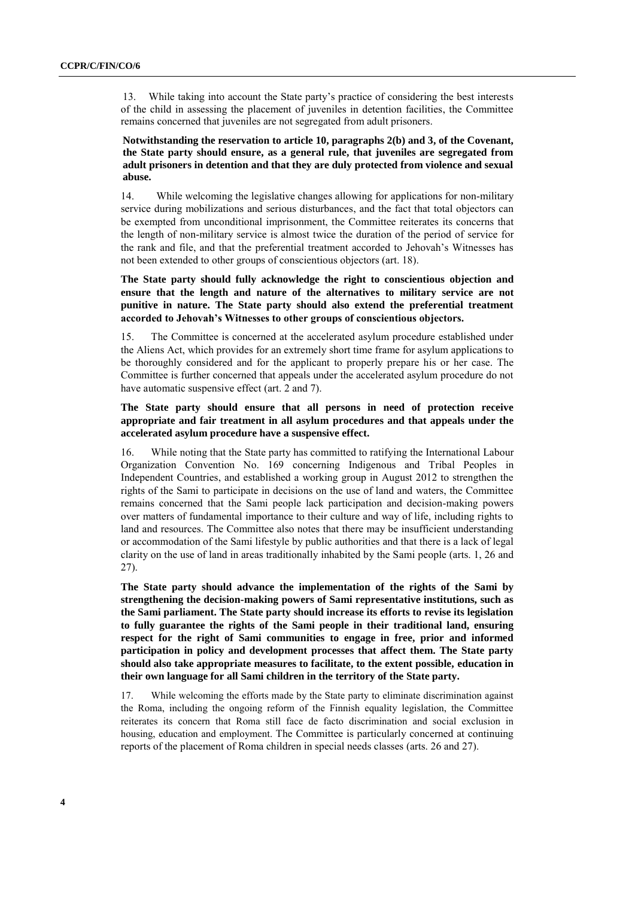13. While taking into account the State party's practice of considering the best interests of the child in assessing the placement of juveniles in detention facilities, the Committee remains concerned that juveniles are not segregated from adult prisoners.

**Notwithstanding the reservation to article 10, paragraphs 2(b) and 3, of the Covenant, the State party should ensure, as a general rule, that juveniles are segregated from adult prisoners in detention and that they are duly protected from violence and sexual abuse.**

14. While welcoming the legislative changes allowing for applications for non-military service during mobilizations and serious disturbances, and the fact that total objectors can be exempted from unconditional imprisonment, the Committee reiterates its concerns that the length of non-military service is almost twice the duration of the period of service for the rank and file, and that the preferential treatment accorded to Jehovah's Witnesses has not been extended to other groups of conscientious objectors (art. 18).

**The State party should fully acknowledge the right to conscientious objection and ensure that the length and nature of the alternatives to military service are not punitive in nature. The State party should also extend the preferential treatment accorded to Jehovah's Witnesses to other groups of conscientious objectors.**

15. The Committee is concerned at the accelerated asylum procedure established under the Aliens Act, which provides for an extremely short time frame for asylum applications to be thoroughly considered and for the applicant to properly prepare his or her case. The Committee is further concerned that appeals under the accelerated asylum procedure do not have automatic suspensive effect (art. 2 and 7).

#### **The State party should ensure that all persons in need of protection receive appropriate and fair treatment in all asylum procedures and that appeals under the accelerated asylum procedure have a suspensive effect.**

16. While noting that the State party has committed to ratifying the International Labour Organization Convention No. 169 concerning Indigenous and Tribal Peoples in Independent Countries, and established a working group in August 2012 to strengthen the rights of the Sami to participate in decisions on the use of land and waters, the Committee remains concerned that the Sami people lack participation and decision-making powers over matters of fundamental importance to their culture and way of life, including rights to land and resources. The Committee also notes that there may be insufficient understanding or accommodation of the Sami lifestyle by public authorities and that there is a lack of legal clarity on the use of land in areas traditionally inhabited by the Sami people (arts. 1, 26 and 27).

**The State party should advance the implementation of the rights of the Sami by strengthening the decision-making powers of Sami representative institutions, such as the Sami parliament. The State party should increase its efforts to revise its legislation to fully guarantee the rights of the Sami people in their traditional land, ensuring respect for the right of Sami communities to engage in free, prior and informed participation in policy and development processes that affect them. The State party should also take appropriate measures to facilitate, to the extent possible, education in their own language for all Sami children in the territory of the State party.**

17. While welcoming the efforts made by the State party to eliminate discrimination against the Roma, including the ongoing reform of the Finnish equality legislation, the Committee reiterates its concern that Roma still face de facto discrimination and social exclusion in housing, education and employment. The Committee is particularly concerned at continuing reports of the placement of Roma children in special needs classes (arts. 26 and 27).